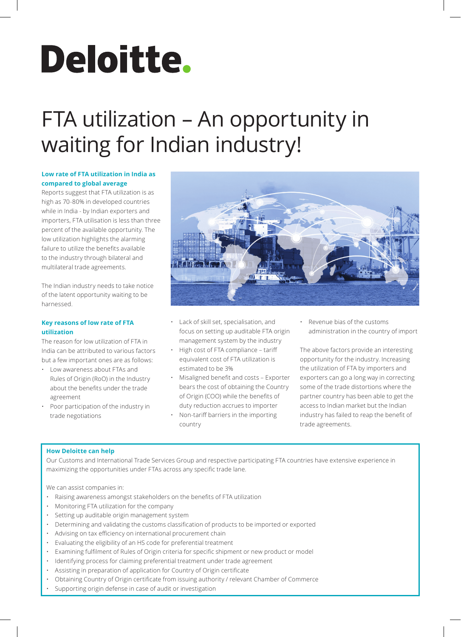# Deloitte.

# FTA utilization – An opportunity in waiting for Indian industry!

# **Low rate of FTA utilization in India as compared to global average**

Reports suggest that FTA utilization is as high as 70-80% in developed countries while in India - by Indian exporters and importers, FTA utilisation is less than three percent of the available opportunity. The low utilization highlights the alarming failure to utilize the benefits available to the industry through bilateral and multilateral trade agreements.

The Indian industry needs to take notice of the latent opportunity waiting to be harnessed.

# **Key reasons of low rate of FTA utilization**

The reason for low utilization of FTA in India can be attributed to various factors but a few important ones are as follows:

- Low awareness about FTAs and Rules of Origin (RoO) in the Industry about the benefits under the trade agreement
- Poor participation of the industry in trade negotiations



- Lack of skill set, specialisation, and focus on setting up auditable FTA origin management system by the industry
- High cost of FTA compliance tariff equivalent cost of FTA utilization is estimated to be 3%
- Misaligned benefit and costs Exporter bears the cost of obtaining the Country of Origin (COO) while the benefits of duty reduction accrues to importer
- Non-tariff barriers in the importing country

• Revenue bias of the customs administration in the country of import

The above factors provide an interesting opportunity for the industry. Increasing the utilization of FTA by importers and exporters can go a long way in correcting some of the trade distortions where the partner country has been able to get the access to Indian market but the Indian industry has failed to reap the benefit of trade agreements.

# **How Deloitte can help**

Our Customs and International Trade Services Group and respective participating FTA countries have extensive experience in maximizing the opportunities under FTAs across any specific trade lane.

We can assist companies in:

- Raising awareness amongst stakeholders on the benefits of FTA utilization
- Monitoring FTA utilization for the company
- Setting up auditable origin management system
- Determining and validating the customs classification of products to be imported or exported
- Advising on tax efficiency on international procurement chain
- Evaluating the eligibility of an HS code for preferential treatment
- Examining fulfilment of Rules of Origin criteria for specific shipment or new product or model
- Identifying process for claiming preferential treatment under trade agreement
- Assisting in preparation of application for Country of Origin certificate
- Obtaining Country of Origin certificate from issuing authority / relevant Chamber of Commerce
- Supporting origin defense in case of audit or investigation